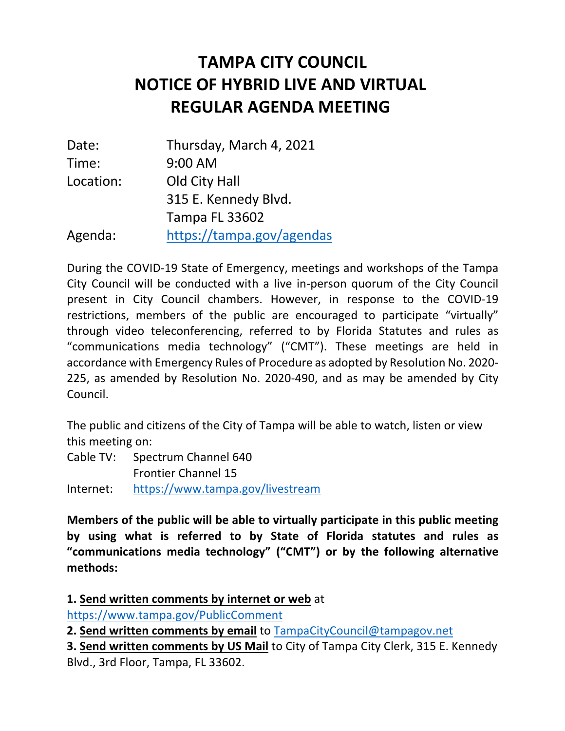# **NOTICE OF HYBRID LIVE AND VIRTUAL REGULAR AGENDA MEETING TAMPA CITY COUNCIL**

| Date:     | Thursday, March 4, 2021   |
|-----------|---------------------------|
| Time:     | 9:00 AM                   |
| Location: | Old City Hall             |
|           | 315 E. Kennedy Blvd.      |
|           | <b>Tampa FL 33602</b>     |
| Agenda:   | https://tampa.gov/agendas |

 During the COVID-19 State of Emergency, meetings and workshops of the Tampa City Council will be conducted with a live in-person quorum of the City Council present in City Council chambers. However, in response to the COVID-19 restrictions, members of the public are encouraged to participate "virtually" through video teleconferencing, referred to by Florida Statutes and rules as "communications media technology" ("CMT"). These meetings are held in accordance with Emergency Rules of Procedure as adopted by Resolution No. 2020- 225, as amended by Resolution No. 2020-490, and as may be amended by City Council.

 The public and citizens of the City of Tampa will be able to watch, listen or view this meeting on:

 Cable TV: Spectrum Channel 640 Frontier Channel 15

Internet: https://www.tampa.gov/livestream

 **Members of the public will be able to virtually participate in this public meeting by using what is referred to by State of Florida statutes and rules as "communications media technology" ("CMT") or by the following alternative methods:** 

 https://www.tampa.gov/PublicComment **1. Send written comments by internet or web** at

 **2. Send written comments by email** to TampaCityCouncil@tampagov.net

 **3. Send written comments by US Mail** to City of Tampa City Clerk, 315 E. Kennedy Blvd., 3rd Floor, Tampa, FL 33602.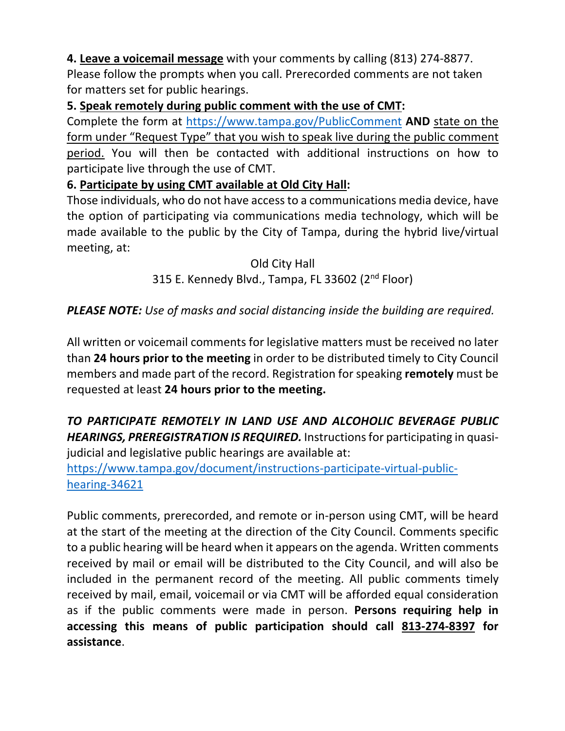**4. Leave a voicemail message** with your comments by calling (813) 274-8877. Please follow the prompts when you call. Prerecorded comments are not taken for matters set for public hearings.

#### **5. Speak remotely during public comment with the use of CMT:**

 Complete the form at https://www.tampa.gov/PublicComment **AND** state on the form under "Request Type" that you wish to speak live during the public comment participate live through the use of CMT. period. You will then be contacted with additional instructions on how to

### **6. Participate by using CMT available at Old City Hall:**

 Those individuals, who do not have access to a communications media device, have the option of participating via communications media technology, which will be made available to the public by the City of Tampa, during the hybrid live/virtual meeting, at:

### Old City Hall 315 E. Kennedy Blvd., Tampa, FL 33602 (2<sup>nd</sup> Floor)

## *PLEASE NOTE: Use of masks and social distancing inside the building are required.*

 All written or voicemail comments for legislative matters must be received no later  than **24 hours prior to the meeting** in order to be distributed timely to City Council members and made part of the record. Registration for speaking **remotely** must be  requested at least **24 hours prior to the meeting.** 

### *TO PARTICIPATE REMOTELY IN LAND USE AND ALCOHOLIC BEVERAGE PUBLIC HEARINGS, PREREGISTRATION IS REQUIRED.* Instructionsfor participating in quasijudicial and legislative public hearings are available at:

https://www.tampa.gov/document/instructions-participate-virtual-publichearing-34621

 Public comments, prerecorded, and remote or in-person using CMT, will be heard at the start of the meeting at the direction of the City Council. Comments specific to a public hearing will be heard when it appears on the agenda. Written comments received by mail or email will be distributed to the City Council, and will also be included in the permanent record of the meeting. All public comments timely received by mail, email, voicemail or via CMT will be afforded equal consideration as if the public comments were made in person. **Persons requiring help in accessing this means of public participation should call 813-274-8397 for assistance**.